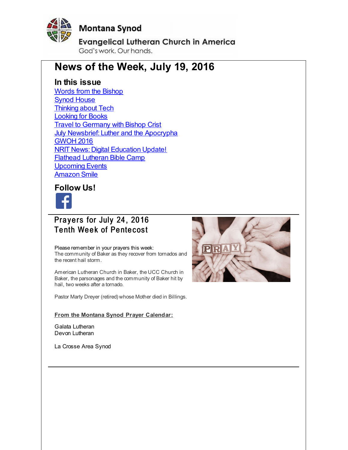<span id="page-0-0"></span>

# **Montana Synod**

**Evangelical Lutheran Church in America** God's work, Our hands,

# **News of the Week, July 19, 2016**

#### **In this issue**

Words from the [Bishop](#page-0-0) **Synod [House](#page-0-0) [Thinking](#page-0-0) about Tech** [Looking](#page-0-0) for Books **Travel to [Germany](#page-0-0) with Bishop Crist July Newsbrief: Luther and the [Apocrypha](#page-0-0)** [GWOH](#page-0-0) 2016 **NRIT News: Digital [Education](#page-0-0) Update!** Flathead [Lutheran](#page-0-0) Bible Camp [Upcoming](#page-0-0) Events [Amazon](#page-0-0) Smile

#### **Follow Us!**



## Pravers for July 24, 2016 **Tenth Week of Pentecost**

Please remember in your prayers this week: The community of Baker as they recover from tornados and the recent hail storm.

American Lutheran Church in Baker, the UCC Church in Baker, the parsonages and the community of Baker hit by hail, two weeks after a tornado.

Pastor Marty Dreyer (retired) whose Mother died in Billings.

#### **From the Montana Synod Prayer Calendar:**

Galata Lutheran Devon Lutheran

La Crosse Area Synod

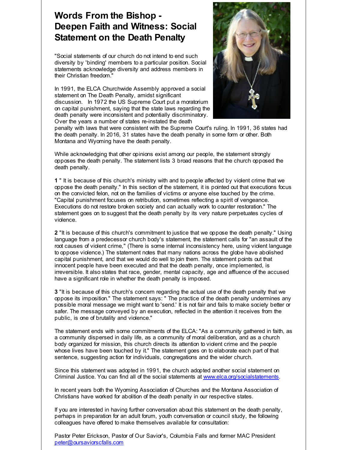# **Words From the Bishop - Deepen Faith and Witness: Social Statement on the Death Penalty**

"Social statements of our church do not intend to end such diversity by 'binding' members to a particular position. Social statements acknowledge diversity and address members in their Christian freedom."

In 1991, the ELCA Churchwide Assembly approved a social statement on The Death Penalty, amidst significant discussion. In 1972 the US Supreme Court put a moratorium on capital punishment, saying that the state laws regarding the death penalty were inconsistent and potentially discriminatory. Over the years a number of states re-instated the death



penalty with laws that were consistent with the Supreme Court's ruling. In 1991, 36 states had the death penalty. In 2016, 31 states have the death penalty in some form or other. Both Montana and Wyoming have the death penalty.

While acknowledging that other opinions exist among our people, the statement strongly opposes the death penalty. The statement lists 3 broad reasons that the church opposed the death penalty.

**1** " It is because of this church's ministry with and to people affected by violent crime that we oppose the death penalty." In this section of the statement, it is pointed out that executions focus on the convicted felon, not on the families of victims or anyone else touched by the crime. "Capital punishment focuses on retribution, sometimes reflecting a spirit of vengeance. Executions do not restore broken society and can actually work to counter restoration." The statement goes on to suggest that the death penalty by its very nature perpetuates cycles of violence.

**2** "It is because of this church's commitment to justice that we oppose the death penalty." Using language from a predecessor church body's statement, the statement calls for "an assault of the root causes of violent crime," (There is some internal inconsistency here, using violent language to oppose violence.) The statement notes that many nations across the globe have abolished capital punishment, and that we would do well to join them. The statement points out that innocent people have been executed and that the death penalty, once implemented, is irreversible. It also states that race, gender, mental capacity, age and affluence of the accused have a significant role in whether the death penalty is imposed.

**3** "It is because of this church's concern regarding the actual use of the death penalty that we oppose its imposition." The statement says: " The practice of the death penalty undermines any possible moral message we might want to 'send.' It is not fair and fails to make society better or safer. The message conveyed by an execution, reflected in the attention it receives from the public, is one of brutality and violence."

The statement ends with some commitments of the ELCA: "As a community gathered in faith, as a community dispersed in daily life, as a community of moral deliberation, and as a church body organized for mission, this church directs its attention to violent crime and the people whose lives have been touched by it." The statement goes on to elaborate each part of that sentence, suggesting action for individuals, congregations and the wider church.

Since this statement was adopted in 1991, the church adopted another social statement on Criminal Justice. You can find all of the social statements at [www.elca.org/socialstatements](http://r20.rs6.net/tn.jsp?f=001s-OnjUN9KyCPO5O5VZbw1TvMn46GeCRfu6HcJzOkRVcdM7mJMIIBUu7A01qUs_R935lF0bcWNDPEAoZ-8QE8ibIIBl-T-JfLpSyxxRffXWAQSzUCcfNQzuDKUFnVOhS7dJ4qU7nSnSFUJS0zOcEjofxu4aZOwjuG1Ld2ejjIpARSEE_c_ibBb97BAcqovtyM&c=&ch=).

In recent years both the Wyoming Association of Churches and the Montana Association of Christians have worked for abolition of the death penalty in our respective states.

If you are interested in having further conversation about this statement on the death penalty, perhaps in preparation for an adult forum, youth conversation or council study, the following colleagues have offered to make themselves available for consultation:

Pastor Peter Erickson, Pastor of Our Savior's, Columbia Falls and former MAC President [peter@oursaviorscfalls.com](mailto:peter@oursaviorscfalls.com)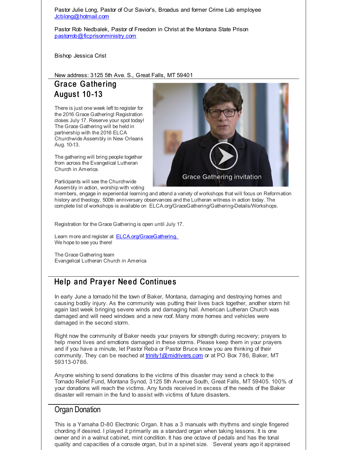Pastor Julie Long, Pastor of Our Savior's, Broadus and former Crime Lab employee [Jcblong@hotmail.com](mailto:Jcblong@hotmail.com)

Pastor Rob Nedbalek, Pastor of Freedom in Christ at the Montana State Prison [pastorrob@ficprisonministry.com](mailto:pastorrob@ficprisonministry.com)

Bishop Jessica Crist

#### New address: 3125 5th Ave. S., Great Falls, MT 59401

### Grace Gathering **August 10-13**

There is just one week left to register for the 2016 Grace Gathering! Registration closes July 17. Reserve your spot today! The Grace Gathering will be held in partnership with the 2016 ELCA Churchwide Assembly in New Orleans Aug. 10-13.

The gathering will bring people together from across the Evangelical Lutheran Church in America.

Participants will see the Churchwide Assembly in action, worship with voting



members, engage in experiential learning and attend a variety of workshops that will focus on Reformation history and theology, 500th anniversary observances and the Lutheran witness in action today. The complete list of workshops is available on ELCA.org/GraceGathering/Gathering-Details/Workshops.

Registration for the Grace Gathering is open until July 17.

Learn more and register at **[ELCA.org/GraceGathering.](http://r20.rs6.net/tn.jsp?f=001s-OnjUN9KyCPO5O5VZbw1TvMn46GeCRfu6HcJzOkRVcdM7mJMIIBUl9_NBcXkxjaUI-kgpNARrMfUWQsr2tFI18DTxgUAaJ5smOmUAeAnMhaGEP9XN67jIxWtfD4VEQYN4231S5tlTRMI3vvk1EDEb7rl2t8L_Oy2wsPvi6gZvB-9U-agRpo9A==&c=&ch=)** We hope to see you there!

The Grace Gathering team Evangelical Lutheran Church in America

## Help and Prayer Need Continues

In early June a tornado hit the town of Baker, Montana, damaging and destroying homes and causing bodily injury. As the community was putting their lives back together, another storm hit again last week bringing severe winds and damaging hail. American Lutheran Church was damaged and will need windows and a new roof. Many more homes and vehicles were damaged in the second storm.

Right now the community of Baker needs your prayers for strength during recovery; prayers to help mend lives and emotions damaged in these storms. Please keep them in your prayers and if you have a minute, let Pastor Reba or Pastor Bruce know you are thinking of their community. They can be reached at [trinity1@midrivers.com](http://r20.rs6.net/tn.jsp?f=001s-OnjUN9KyCPO5O5VZbw1TvMn46GeCRfu6HcJzOkRVcdM7mJMIIBUusOUyxyA8NuF6p-IxHEiLH06xBRmbCf_5wenNdsK1qBbSmDMRbno22ft4OMkk9VZwwuGKIBD4CcCUxLkMsgro61fkrHv_tqkfya2_GXK8MytHBe0kX5HXk=&c=&ch=) or at PO Box 786, Baker, MT 59313-0786.

Anyone wishing to send donations to the victims of this disaster may send a check to the Tornado Relief Fund, Montana Synod, 3125 5th Avenue South, Great Falls, MT 59405. 100% of your donations will reach the victims. Any funds received in excess of the needs of the Baker disaster will remain in the fund to assist with victims of future disasters.

#### Organ Donation

This is a Yamaha D-80 Electronic Organ. It has a 3 manuals with rhythms and single fingered chording if desired. I played it primarily as a standard organ when taking lessons. It is one owner and in a walnut cabinet, mint condition. It has one octave of pedals and has the tonal quality and capacities of a console organ, but in a spinet size. Several years ago it appraised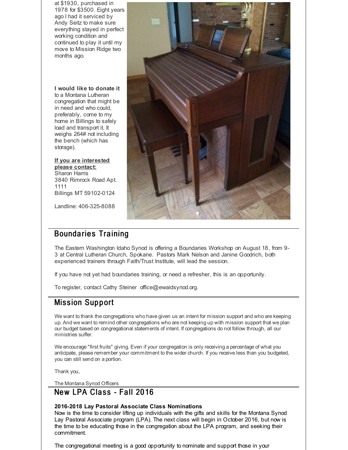at \$1930, purchased in 1978 for \$3500. Eight years ago I had it serviced by Andy Seitz to make sure everything stayed in perfect working condition and continued to play it until my move to Mission Ridge two months ago.

**I would like to donate it** to a Montana Lutheran congregation that might be in need and who could, preferably, come to my home in Billings to safely load and transport it. It weighs 264# not including the bench (which has storage).

#### **If you are interested please contact:**

Sharon Harris 3840 Rimrock Road Apt. 1111 Billings MT 59102-0124

Landline: 406-325-8088

# **Boundaries Training**

The Eastern Washington Idaho Synod is offering a Boundaries Workshop on August 18, from 9- 3 at Central Lutheran Church, Spokane. Pastors Mark Nelson and Janine Goodrich, both experienced trainers through Faith/Trust Institute, will lead the session.

If you have not yet had boundaries training, or need a refresher, this is an opportunity.

To register, contact Cathy Steiner office@ewaidsynod.org.

## **Mission Support**

We want to thank the congregations who have given us an intent for mission support and who are keeping up. And we want to remind other congregations who are not keeping up with mission support that we plan our budget based on congregational statements of intent. If congregations do not follow through, all our ministries suffer.

We encourage "first fruits" giving. Even if your congregation is only receiving a percentage of what you anticipate, please remember your commitment to the wider church. If you receive less than you budgeted, you can still send on a portion.

Thank you,

The Montana Synod Officers

#### New LPA Class - Fall 2016

#### **2016-2018 Lay Pastoral Associate Class Nominations**

Now is the time to consider lifting up individuals with the gifts and skills for the Montana Synod Lay Pastoral Associate program (LPA). The next class will begin in October 2016, but now is the time to be educating those in the congregation about the LPA program, and seeking their commitment.

The congregational meeting is a good opportunity to nominate and support those in your

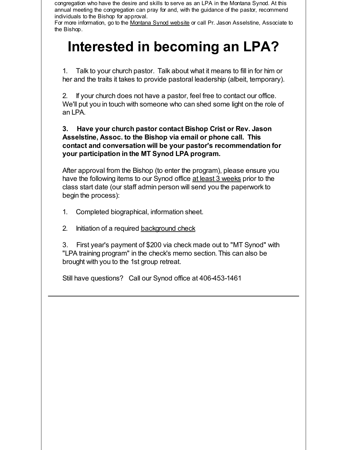congregation who have the desire and skills to serve as an LPA in the Montana Synod. At this annual meeting the congregation can pray for and, with the guidance of the pastor, recommend individuals to the Bishop for approval.

For more information, go to the [Montana](http://r20.rs6.net/tn.jsp?f=001s-OnjUN9KyCPO5O5VZbw1TvMn46GeCRfu6HcJzOkRVcdM7mJMIIBUqBnXCFOkRV2fZve0c7HFtqfxofUXQHlfTtSAyrX21Vsv80RlXFDq-4riBpuH9znoQUgA-Bd8gSQztCHpk8dFf5YGlILd-VPSQRE8Z7CtI0r5S2_14z07Z766JZ5UUJylA==&c=&ch=) Synod website or call Pr. Jason Asselstine, Associate to the Bishop.

# **Interested in becoming an LPA?**

1. Talk to your church pastor. Talk about what it means to fill in for him or her and the traits it takes to provide pastoral leadership (albeit, temporary).

2. If your church does not have a pastor, feel free to contact our office. We'll put you in touch with someone who can shed some light on the role of an LPA.

#### **3. Have your church pastor contact Bishop Crist or Rev. Jason Asselstine, Assoc. to the Bishop via email or phone call. This contact and conversation will be your pastor's recommendation for your participation in the MT Synod LPA program.**

After approval from the Bishop (to enter the program), please ensure you have the following items to our Synod office at least 3 weeks prior to the class start date (our staff admin person will send you the paperwork to begin the process):

- 1. Completed biographical, information sheet.
- 2. Initiation of a required [background](http://r20.rs6.net/tn.jsp?f=001s-OnjUN9KyCPO5O5VZbw1TvMn46GeCRfu6HcJzOkRVcdM7mJMIIBUpkZOBqRRyyu5qSULp31-GOQp9IuTfaceixLngiKiVGS2MJprw3dtJkYzhunK86Sf23hefAGLBrlREFYfNbczO7WMxYwE-f-ynVhNaeKSLxqit8goN7Lsz3CGn5nv6mlZfpf4fUvuOXiA2ICYJvhsEd6JPGU1d19mg==&c=&ch=) check

3. First year's payment of \$200 via check made out to "MT Synod" with "LPA training program" in the check's memo section. This can also be brought with you to the 1st group retreat.

Still have questions? Call our Synod office at 406-453-1461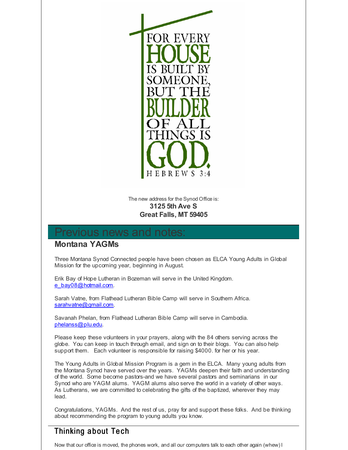

#### The new address for the Synod Office is: **3125 5th Ave S Great Falls, MT 59405**

# evious news and

#### **Montana YAGMs**

Three Montana Synod Connected people have been chosen as ELCA Young Adults in Global Mission for the upcoming year, beginning in August.

Erik Bay of Hope Lutheran in Bozeman will serve in the United Kingdom. [e\\_bay08@hotmail.com.](mailto:e_bay08@hotmail.com)

Sarah Vatne, from Flathead Lutheran Bible Camp will serve in Southern Africa. [sarahvatne@gmail.com.](mailto:sarahvatne@gmail.com)

Savanah Phelan, from Flathead Lutheran Bible Camp will serve in Cambodia. [phelanss@plu.edu.](mailto:phelanss@plu.edu)

Please keep these volunteers in your prayers, along with the 84 others serving across the globe. You can keep in touch through email, and sign on to their blogs. You can also help support them. Each volunteer is responsible for raising \$4000. for her or his year.

The Young Adults in Global Mission Program is a gem in the ELCA. Many young adults from the Montana Synod have served over the years. YAGMs deepen their faith and understanding of the world. Some become pastors-and we have several pastors and seminarians in our Synod who are YAGM alums. YAGM alums also serve the world in a variety of other ways. As Lutherans, we are committed to celebrating the gifts of the baptized, wherever they may lead.

Congratulations, YAGMs. And the rest of us, pray for and support these folks. And be thinking about recommending the program to young adults you know.

# Thinking about Tech

Now that our office is moved, the phones work, and all our computers talk to each other again (whew) I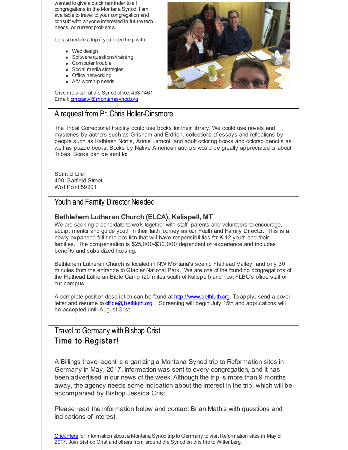wanted to give a quick reminder to all congregations in the Montana Synod. I am available to travel to your congregation and consult with anyone interested in future tech needs, or current problems.

Lets schedule a trip if you need help with:

- Web design
- Software questions/training
- Computer trouble
- Social media strategies
- Office networking
- A/V worship needs

Give me a call at the Synod office: 453-1461 Email: [cmccarty@montanasynod.org](mailto:cmccarty@montanasynod.org)

#### A request from Pr.Chris Holler-Dinsmore

The Tribal Correctional Facility could use books for their library. We could use novels and mysteries by authors such as Grisham and Erdrich, collections of essays and reflections by people such as Kathleen Norris, Annie Lamont, and adult coloring books and colored pencils as well as puzzle books. Books by Native American authors would be greatly appreciated or about Tribes. Books can be sent to:

Spirit of Life 400 Garfield Street, Wolf Point 59201

#### Youth and Family Director Needed

#### **Bethlehem Lutheran Church (ELCA), Kalispell, MT**

We are seeking a candidate to work together with staff, parents and volunteers to encourage, equip, mentor and guide youth in their faith journey as our Youth and Family Director. This is a newly expanded full-time position that will have responsibilities for K-12 youth and their families. The compensation is \$25,000-\$30,000 dependent on experience and includes benefits and subsidized housing.

Bethlehem Lutheran Church is located in NW Montana's scenic Flathead Valley, and only 30 minutes from the entrance to Glacier National Park. We are one of the founding congregations of the Flathead Lutheran Bible Camp (20 miles south of Kalispell) and host FLBC's office staff on our campus.

A complete position description can be found at [http://www.bethluth.org](http://r20.rs6.net/tn.jsp?f=001s-OnjUN9KyCPO5O5VZbw1TvMn46GeCRfu6HcJzOkRVcdM7mJMIIBUu7A01qUs_R9RtijAiP12i-O15NtMzytrJjnTdBheQdSd1Nfz92_14YNRiRwpUxwjyGdnnGRhgA1xPm-u4SmzS618TKVGdRXK8Jvkz7IlrZu7SRbZrwfYo4=&c=&ch=). To apply, send a cover letter and resume to *[office@bethluth.org](mailto:office@bethluth.org)* . Screening will begin July 15th and applications will be accepted until August 31st.

#### Travel to Germany with Bishop Crist Time to Register!

A Billings travel agent is organizing a Montana Synod trip to Reformation sites in Germany in May, 2017. Information was sent to every congregation, and it has been advertised in our news of the week. Although the trip is more than 9 months away, the agency needs some indication about the interest in the trip, which will be accompanied by Bishop Jessica Crist.

Please read the information below and contact Brian Mathis with questions and indications of interest.

[Click](http://r20.rs6.net/tn.jsp?f=001s-OnjUN9KyCPO5O5VZbw1TvMn46GeCRfu6HcJzOkRVcdM7mJMIIBUoefrr48r46gGTeJ7VYQsai-ayKJoxQ3KcVGXztpOj129fHLHUynsg2zmdZp4yl-Dl4scMb1zJ97592CFz7xXxcWbhKfrYK3Q5JOLQVbS6mbcEupwynHOOWFv138-mHYJ8vJZsKRVcMjOgSEFG-W-0N10YFKWTUqpqQ4nWh5pPOEf0xl3s-IDhmFy_jrCdl5cL8QIHnSxcsm_5NSEtjJ7ZuzAz_6_oiUeNrrlhc3JZZB&c=&ch=) Here for information about a Montana Synod trip to Germany to visit Reformation sites in May of 2017. Join Bishop Crist and others from around the Synod on this trip to Wittenberg.

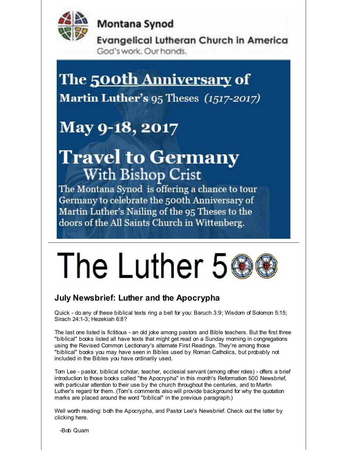

**Montana Synod** 

**Evangelical Lutheran Church in America** God's work. Our hands.

# The 500th Anniversary of

Martin Luther's 95 Theses (1517-2017)

# May 9-18, 2017

# **Travel to Germany With Bishop Crist**

The Montana Synod is offering a chance to tour Germany to celebrate the 500th Anniversary of Martin Luther's Nailing of the 95 Theses to the doors of the All Saints Church in Wittenberg.

# The Luther 5

# **July Newsbrief: Luther and the Apocrypha**

Quick - do any of these biblical texts ring a bell for you: Baruch 3:9; Wisdom of Solomon 5:15; Sirach 24:1-3; Hezekiah 6:8?

The last one listed is fictitious - an old joke among pastors and Bible teachers. But the first three "biblical" books listed all have texts that might get read on a Sunday morning in congregations using the Revised Common Lectionary's alternate First Readings. They're among those "biblical" books you may have seen in Bibles used by Roman Catholics, but probably not included in the Bibles you have ordinarily used.

Tom Lee - pastor, biblical scholar, teacher, ecclesial servant (among other roles) - offers a brief introduction to those books called "the Apocrypha" in this month's Reformation 500 Newsbrief, with particular attention to their use by the church throughout the centuries, and to Martin Luther's regard for them. (Tom's comments also will provide background for why the quotation marks are placed around the word "biblical" in the previous paragraph.)

Well worth reading: both the Apocrypha, and Pastor Lee's Newsbrief. Check out the latter by clicking here.

-Bob Quam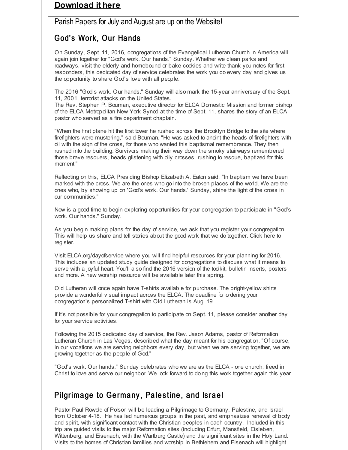#### **[Download](http://r20.rs6.net/tn.jsp?f=001s-OnjUN9KyCPO5O5VZbw1TvMn46GeCRfu6HcJzOkRVcdM7mJMIIBUsfeOVbGRnrmRxYsxfSSsIL9kopM_001VhwXTe6qVGGR8pM6o56XFan7Lb13zXsK420t_M9LG_CIb34AzIF_bpFKOGKMJlrToiaAjrKhr90LdNT1CuLMMiHadU35lB7aeHFkxkW3Lofu6LQB77Qrmss=&c=&ch=) it here**

#### Parish Papers for July and August are up on the [Website!](http://r20.rs6.net/tn.jsp?f=001s-OnjUN9KyCPO5O5VZbw1TvMn46GeCRfu6HcJzOkRVcdM7mJMIIBUhhqRc-tbvXR_HIkDvt12KWygIhwe-0o8YQX_k1a0hY-9tzXGOd34-MwF8Jo1G7SYuk5NEkicU8U7Uk_MLwV2vpz9MQ8L09pvWqvsSfgHV4OMQUkKr5eGap1PwZ4StARAsP9Bea54P8NCEwiz2a0yhrX4kM3InmaRw==&c=&ch=)

#### God's Work, Our Hands

On Sunday, Sept. 11, 2016, congregations of the Evangelical Lutheran Church in America will again join together for "God's work. Our hands." Sunday. Whether we clean parks and roadways, visit the elderly and homebound or bake cookies and write thank you notes for first responders, this dedicated day of service celebrates the work you do every day and gives us the opportunity to share God's love with all people.

The 2016 "God's work. Our hands." Sunday will also mark the 15-year anniversary of the Sept. 11, 2001, terrorist attacks on the United States.

The Rev. Stephen P. Bouman, executive director for ELCA Domestic Mission and former bishop of the ELCA Metropolitan New York Synod at the time of Sept. 11, shares the story of an ELCA pastor who served as a fire department chaplain.

"When the first plane hit the first tower he rushed across the Brooklyn Bridge to the site where firefighters were mustering," said Bouman. "He was asked to anoint the heads of firefighters with oil with the sign of the cross, for those who wanted this baptismal remembrance. They then rushed into the building. Survivors making their way down the smoky stairways remembered those brave rescuers, heads glistening with oily crosses, rushing to rescue, baptized for this moment."

Reflecting on this, ELCA Presiding Bishop Elizabeth A. Eaton said, "In baptism we have been marked with the cross. We are the ones who go into the broken places of the world. We are the ones who, by showing up on 'God's work. Our hands.' Sunday, shine the light of the cross in our communities."

Now is a good time to begin exploring opportunities for your congregation to participate in "God's work. Our hands." Sunday.

As you begin making plans for the day of service, we ask that you register your congregation. This will help us share and tell stories about the good work that we do together. Click here to register.

Visit ELCA.org/dayofservice where you will find helpful resources for your planning for 2016. This includes an updated study guide designed for congregations to discuss what it means to serve with a joyful heart. You'll also find the 2016 version of the toolkit, bulletin inserts, posters and more. A new worship resource will be available later this spring.

Old Lutheran will once again have T-shirts available for purchase. The bright-yellow shirts provide a wonderful visual impact across the ELCA. The deadline for ordering your congregation's personalized T-shirt with Old Lutheran is Aug. 19.

If it's not possible for your congregation to participate on Sept. 11, please consider another day for your service activities.

Following the 2015 dedicated day of service, the Rev. Jason Adams, pastor of Reformation Lutheran Church in Las Vegas, described what the day meant for his congregation. "Of course, in our vocations we are serving neighbors every day, but when we are serving together, we are growing together as the people of God."

"God's work. Our hands." Sunday celebrates who we are as the ELCA - one church, freed in Christ to love and serve our neighbor. We look forward to doing this work together again this year.

#### Pilgrimage to Germany, Palestine, and Israel

Pastor Paul Rowold of Polson will be leading a Pilgrimage to Germany, Palestine, and Israel from October 4-18. He has led numerous groups in the past, and emphasizes renewal of body and spirit, with significant contact with the Christian peoples in each country. Included in this trip are guided visits to the major Reformation sites (including Erfurt, Mansfield, Eisleben, Wittenberg, and Eisenach, with the Wartburg Castle) and the significant sites in the Holy Land. Visits to the homes of Christian families and worship in Bethlehem and Eisenach will highlight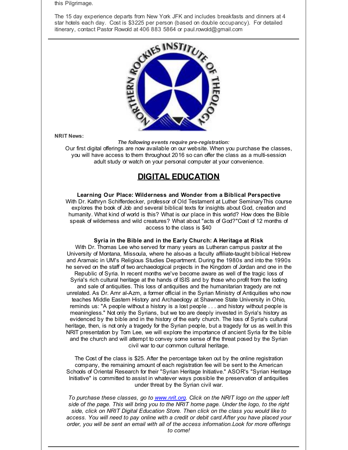this Pilgrimage.

The 15 day experience departs from New York JFK and includes breakfasts and dinners at 4 star hotels each day. Cost is \$3225 per person (based on double occupancy). For detailed itinerary, contact Pastor Rowold at 406 883 5864 or paul.rowold@gmail.com



**NRIT News:**

*The following events require pre-registration:*

Our first digital offerings are now available on our website. When you purchase the classes, you will have access to them throughout 2016 so can offer the class as a multi-session adult study or watch on your personal computer at your convenience.

#### **DIGITAL EDUCATION**

#### **Learning Our Place: Wilderness and Wonder from a Biblical Perspective**

With Dr. Kathryn Schifferdecker, professor of Old Testament at Luther SeminaryThis course explores the book of Job and several biblical texts for insights about God, creation and humanity. What kind of world is this? What is our place in this world? How does the Bible speak of wilderness and wild creatures? What about "acts of God?"Cost of 12 months of access to the class is \$40

#### **Syria in the Bible and in the Early Church: A Heritage at Risk**

With Dr. Thomas Lee who served for many years as Lutheran campus pastor at the University of Montana, Missoula, where he also-as a faculty affiliate-taught biblical Hebrew and Aramaic in UM's Religious Studies Department. During the 1980s and into the 1990s he served on the staff of two archaeological projects in the Kingdom of Jordan and one in the Republic of Syria. In recent months we've become aware as well of the tragic loss of Syria's rich cultural heritage at the hands of ISIS and by those who profit from the looting and sale of antiquities. This loss of antiquities and the humanitarian tragedy are not unrelated. As Dr. Amr al-Azm, a former official in the Syrian Ministry of Antiquities who now teaches Middle Eastern History and Archaeology at Shawnee State University in Ohio, reminds us: "A people without a history is a lost people . . . and history without people is meaningless." Not only the Syrians, but we too are deeply invested in Syria's history as evidenced by the bible and in the history of the early church. The loss of Syria's cultural heritage, then, is not only a tragedy for the Syrian people, but a tragedy for us as well.In this NRIT presentation by Tom Lee, we will explore the importance of ancient Syria for the bible and the church and will attempt to convey some sense of the threat posed by the Syrian civil war to our common cultural heritage.

The Cost of the class is \$25. After the percentage taken out by the online registration company, the remaining amount of each registration fee will be sent to the American Schools of Oriental Research for their "Syrian Heritage Initiative." ASOR's "Syrian Heritage Initiative" is committed to assist in whatever ways possible the preservation of antiquities under threat by the Syrian civil war.

*To purchase these classes, go to [www.nrit.org](http://r20.rs6.net/tn.jsp?f=001s-OnjUN9KyCPO5O5VZbw1TvMn46GeCRfu6HcJzOkRVcdM7mJMIIBUushvWgx-FR-JxDDzkJV8KUMEQutOga5I7YRUBgUKLkoJi7Z_njXWVCmuLXE5KXcEW9MOsRE9Ak3irkG6s2DWkmA495xr0YweYbveyRavX3S&c=&ch=). Click on the NRIT logo on the upper left side of the page. This will bring you to the NRIT home page. Under the logo, to the right side, click on NRIT Digital Education Store. Then click on the class you would like to access. You will need to pay online with a credit or debit card.After you have placed your order, you will be sent an email with all of the access information.Look for more offerings to come!*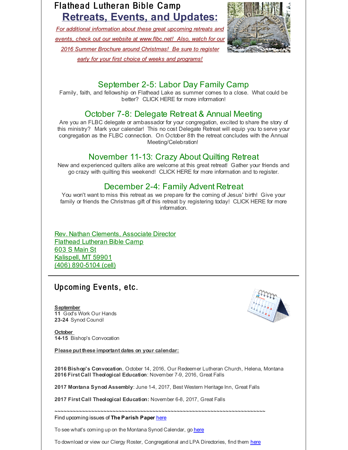# Flathead Lutheran Bible Camp **Retreats, Events, and Updates:**

*For additional information about these great upcoming retreats and events, check out our website at [www.flbc.net](http://r20.rs6.net/tn.jsp?f=001s-OnjUN9KyCPO5O5VZbw1TvMn46GeCRfu6HcJzOkRVcdM7mJMIIBUhWAYpFNKxMu4kIdSSocfPsJ0sGEhnzHNj1vVV-00LWzKL2M0fZFJMJRVwSaNF2co0BcYQi8GMMl4s6W_h5Xk82xyZON8QrNEZr4EmdKgWH8AOXpm-JlnS_D-MHOWbIqQEsFlFZs811UxkiMndHD4-ux0AfCN7dwxTUa2aUpdU1b8vZ7kc6nC-OkOZpk27Id0qE3U6gTqsXQ&c=&ch=)! Also, watch for our 2016 Summer Brochure around Christmas! Be sure to register early for your first choice of weeks and programs!*



#### September 2-5: Labor Day Family Camp

Family, faith, and fellowship on Flathead Lake as summer comes to a close. What could be better? CLICK HERE for more information!

#### October 7-8: Delegate Retreat & Annual Meeting

Are you an FLBC delegate or ambassador for your congregation, excited to share the story of this ministry? Mark your calendar! This no cost Delegate Retreat will equip you to serve your congregation as the FLBC connection. On October 8th the retreat concludes with the Annual Meeting/Celebration!

#### November 11-13: Crazy About Quilting Retreat

New and experienced quilters alike are welcome at this great retreat! Gather your friends and go crazy with quilting this weekend! CLICK HERE for more information and to register.

#### December 2-4: Family Advent Retreat

You won't want to miss this retreat as we prepare for the coming of Jesus' birth! Give your family or friends the Christmas gift of this retreat by registering today! CLICK HERE for more information.

Rev. Nathan Clements, Associate Director Flathead Lutheran Bible Camp 603 S Main St Kalispell, MT 59901 (406) 890-5104 (cell)

## Up coming Events, etc.

**September 11** God's Work Our Hands 23-24 Synod Council

**October 14-15** Bishop's Convocation

**Please put these important dates on your calendar:**

**2016 Bishop's Convocation**, October 14, 2016, Our Redeemer Lutheran Church, Helena, Montana **2016 First Call Theological Education**: November 7-9, 2016, Great Falls

**2017 Montana Synod Assembly**: June 1-4, 2017, Best Western Heritage Inn, Great Falls

**2017 First Call Theological Education:** November 6-8, 2017, Great Falls

#### ~~~~~~~~~~~~~~~~~~~~~~~~~~~~~~~~~~~~~~~~~~~~~~~~~~~~~~~~~~~~~~~~~~~~~ Find upcoming issues of **The Parish Paper** [here](http://r20.rs6.net/tn.jsp?f=001s-OnjUN9KyCPO5O5VZbw1TvMn46GeCRfu6HcJzOkRVcdM7mJMIIBUnfQPRqTHn8zeNd7SSKFjMkmUZCgylszjavVXeb3rvoMLZgNWL_qDTs0U6eaYToBflGiOs7e7lU8HxPTGuI_5sd3w-kGwQe_VVibuLsnaQToX1VzZ5WdW9efEwMYC1xCizP5Vj5OdUr061shJC5G2YkrAZKyD4XVBQ==&c=&ch=)

To see what's coming up on the Montana Synod Calendar, go [here](http://r20.rs6.net/tn.jsp?f=001s-OnjUN9KyCPO5O5VZbw1TvMn46GeCRfu6HcJzOkRVcdM7mJMIIBUsNU1-2nGyuJBM4rUzfxdKgm_w8SSw21rkjLun4UuWc6HZ6OqQ4fM1TjGHMV6Pr4KBgCWSr8ffPMSBkm69oxF1wrG4WVUsm5CzKQMLr6jEkZJsXX1ngj5A3DI5-AYgDs_z_BNgh_jY1bIDnRoEduVJs=&c=&ch=)

To download or view our Clergy Roster, Congregational and LPA Directories, find them [here](http://r20.rs6.net/tn.jsp?f=001s-OnjUN9KyCPO5O5VZbw1TvMn46GeCRfu6HcJzOkRVcdM7mJMIIBUs5q5L_5MAsQD3XIazY-JX4tG6GEoa5KEHXIrQ3ID2sXsvYiVHBjb3IUXWMkDtfoPrYqdu_7stwUEAulkdxiAj7kTGVObj7jQNfaNSCT127P32n_W4sgWM_fXOu6obCNFGM0FU85WQQCDSn_W6-g1Wg=&c=&ch=)